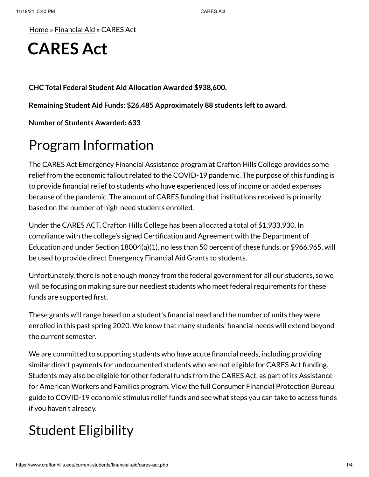[Home](https://www.craftonhills.edu/index.php) » [Financial](https://www.craftonhills.edu/current-students/financial-aid/index.php) Aid » CARES Act

# **CARES Act**

**CHC Total Federal Student Aid Allocation Awarded \$938,600.**

**Remaining Student Aid Funds: \$26,485 Approximately 88 students leftto award.**

**Number of Students Awarded: 633**

## Program Information

The CARES Act Emergency Financial Assistance program at Crafton Hills College provides some relief from the economic fallout related to the COVID-19 pandemic. The purpose of this funding is to provide financial relief to students who have experienced loss of income or added expenses because of the pandemic. The amount of CARES funding that institutions received is primarily based on the number of high-need students enrolled.

Under the CARES ACT, Crafton Hills College has been allocated a total of \$1,933,930. In compliance with the college's signed Certification and Agreement with the Department of Education and under Section 18004(a)(1), no less than 50 percent of these funds, or \$966,965, will be used to provide direct Emergency Financial Aid Grants to students.

Unfortunately, there is not enough money from the federal government for all our students, so we will be focusing on making sure our neediest students who meet federal requirements for these funds are supported first.

These grants will range based on a student's financial need and the number of units they were enrolled in this past spring 2020. We know that many students' financial needs will extend beyond the current semester.

We are committed to supporting students who have acute financial needs, including providing similar direct payments for undocumented students who are not eligible for CARES Act funding. Students may also be eligible for other federal funds from the CARES Act, as part of its Assistance for American Workers and Families program. View the full Consumer Financial Protection Bureau guide to COVID-19 economic stimulus relief funds and see what steps you can take to access funds if you haven't already.

## Student Eligibility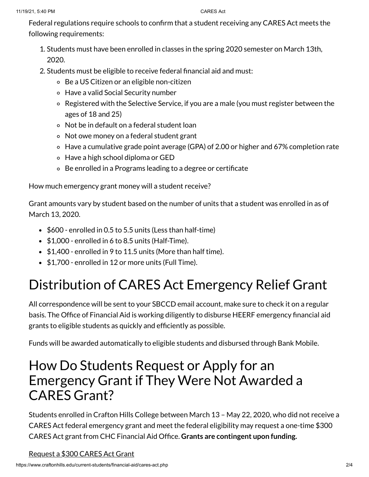Federal regulations require schools to confirm that a student receiving any CARES Act meets the following requirements:

- 1. Students must have been enrolled in classes in the spring 2020 semester on March 13th, 2020.
- 2. Students must be eligible to receive federal financial aid and must:
	- Be a US Citizen or an eligible non-citizen
	- Have a valid Social Security number
	- Registered with the Selective Service, if you are a male (you must register between the ages of 18 and 25)
	- Not be in default on a federal student loan
	- Not owe money on a federal student grant
	- Have a cumulative grade point average (GPA) of 2.00 or higher and 67% completion rate
	- Have a high school diploma or GED
	- Be enrolled in a Programs leading to a degree or certificate

How much emergency grant money will a student receive?

Grant amounts vary by student based on the number of units that a student was enrolled in as of March 13, 2020.

- \$600 enrolled in 0.5 to 5.5 units (Less than half-time)
- $\bullet$  \$1,000 enrolled in 6 to 8.5 units (Half-Time).
- $\bullet$  \$1,400 enrolled in 9 to 11.5 units (More than half time).
- \$1,700 enrolled in 12 or more units (Full Time).

## Distribution of CARES Act Emergency Relief Grant

All correspondence will be sent to your SBCCD email account, make sure to check it on a regular basis. The Office of Financial Aid is working diligently to disburse HEERF emergency financial aid grants to eligible students as quickly and efficiently as possible.

Funds will be awarded automatically to eligible students and disbursed through Bank Mobile.

## How Do Students Request or Apply for an Emergency Grant if They Were Not Awarded a CARES Grant?

Students enrolled in Crafton Hills College between March 13 – May 22, 2020, who did not receive a CARES Act federal emergency grant and meet the federal eligibility may request a one-time \$300 CARES Act grant from CHC Financial Aid Office. **Grants are contingent upon funding.**

[Request](https://www.craftonhills.edu/Apps/sso/?target=cares) a \$300 CARES Act Grant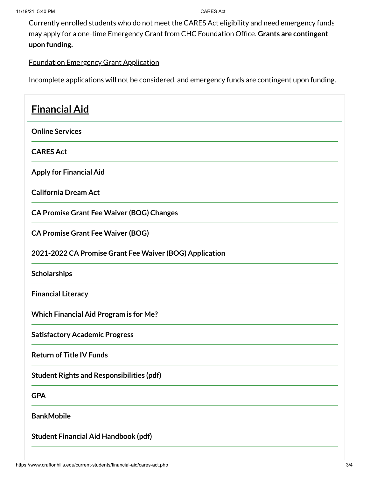Currently enrolled students who do not meet the CARES Act eligibility and need emergency funds may apply for a one-time Emergency Grant from CHC Foundation Office. **Grants are contingent upon funding.**

### [Foundation](https://laserfiche.craftonhills.edu/Forms/KliL5) Emergency Grant Application

Incomplete applications will not be considered, and emergency funds are contingent upon funding.

| <b>Financial Aid</b>                                    |
|---------------------------------------------------------|
| <b>Online Services</b>                                  |
| <b>CARES Act</b>                                        |
| <b>Apply for Financial Aid</b>                          |
| <b>California Dream Act</b>                             |
| <b>CA Promise Grant Fee Waiver (BOG) Changes</b>        |
| <b>CA Promise Grant Fee Waiver (BOG)</b>                |
| 2021-2022 CA Promise Grant Fee Waiver (BOG) Application |
| <b>Scholarships</b>                                     |
| <b>Financial Literacy</b>                               |
| <b>Which Financial Aid Program is for Me?</b>           |
| <b>Satisfactory Academic Progress</b>                   |
| <b>Return of Title IV Funds</b>                         |
| <b>Student Rights and Responsibilities (pdf)</b>        |
| <b>GPA</b>                                              |
| <b>BankMobile</b>                                       |
| <b>Student Financial Aid Handbook (pdf)</b>             |